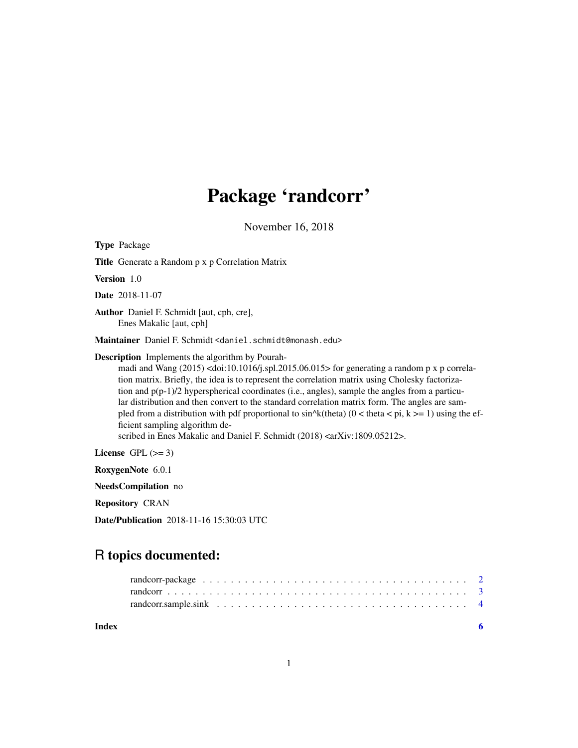## Package 'randcorr'

November 16, 2018

Type Package Title Generate a Random p x p Correlation Matrix Version 1.0 Date 2018-11-07 Author Daniel F. Schmidt [aut, cph, cre], Enes Makalic [aut, cph] Maintainer Daniel F. Schmidt <daniel.schmidt@monash.edu> Description Implements the algorithm by Pourahmadi and Wang  $(2015)$  <doi:10.1016/j.spl.2015.06.015> for generating a random p x p correlation matrix. Briefly, the idea is to represent the correlation matrix using Cholesky factorization and  $p(p-1)/2$  hyperspherical coordinates (i.e., angles), sample the angles from a particular distribution and then convert to the standard correlation matrix form. The angles are sampled from a distribution with pdf proportional to  $sin^k$ (theta) (0 < theta < pi, k >= 1) using the efficient sampling algorithm described in Enes Makalic and Daniel F. Schmidt (2018) <arXiv:1809.05212>. License GPL  $(>= 3)$ RoxygenNote 6.0.1 NeedsCompilation no

Repository CRAN

Date/Publication 2018-11-16 15:30:03 UTC

### R topics documented:

**Index** [6](#page-5-0) **6**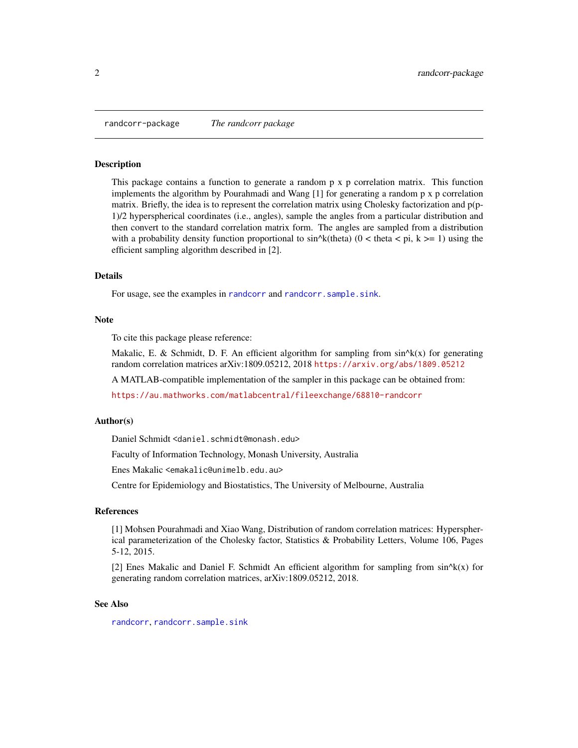<span id="page-1-0"></span>randcorr-package *The randcorr package*

#### Description

This package contains a function to generate a random p x p correlation matrix. This function implements the algorithm by Pourahmadi and Wang [1] for generating a random p x p correlation matrix. Briefly, the idea is to represent the correlation matrix using Cholesky factorization and p(p-1)/2 hyperspherical coordinates (i.e., angles), sample the angles from a particular distribution and then convert to the standard correlation matrix form. The angles are sampled from a distribution with a probability density function proportional to  $sin^k(t)$  (0 < theta < pi, k >= 1) using the efficient sampling algorithm described in [2].

#### Details

For usage, see the examples in [randcorr](#page-2-1) and [randcorr.sample.sink](#page-3-1).

#### **Note**

To cite this package please reference:

Makalic, E. & Schmidt, D. F. An efficient algorithm for sampling from  $sin^k(x)$  for generating random correlation matrices arXiv:1809.05212, 2018 <https://arxiv.org/abs/1809.05212>

A MATLAB-compatible implementation of the sampler in this package can be obtained from:

<https://au.mathworks.com/matlabcentral/fileexchange/68810-randcorr>

#### Author(s)

Daniel Schmidt <daniel.schmidt@monash.edu>

Faculty of Information Technology, Monash University, Australia

Enes Makalic <emakalic@unimelb.edu.au>

Centre for Epidemiology and Biostatistics, The University of Melbourne, Australia

#### References

[1] Mohsen Pourahmadi and Xiao Wang, Distribution of random correlation matrices: Hyperspherical parameterization of the Cholesky factor, Statistics & Probability Letters, Volume 106, Pages 5-12, 2015.

[2] Enes Makalic and Daniel F. Schmidt An efficient algorithm for sampling from  $sin^k(x)$  for generating random correlation matrices, arXiv:1809.05212, 2018.

#### See Also

[randcorr](#page-2-1), [randcorr.sample.sink](#page-3-1)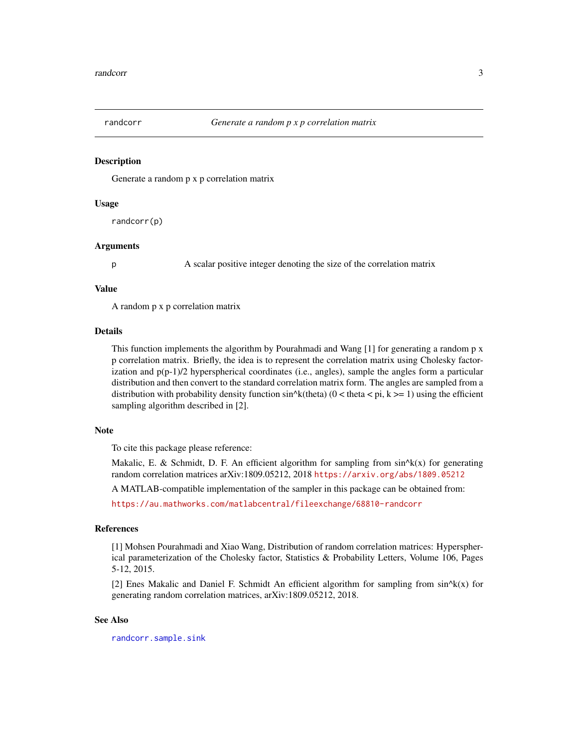<span id="page-2-1"></span><span id="page-2-0"></span>

#### Description

Generate a random p x p correlation matrix

#### Usage

randcorr(p)

#### **Arguments**

p A scalar positive integer denoting the size of the correlation matrix

#### Value

A random p x p correlation matrix

#### Details

This function implements the algorithm by Pourahmadi and Wang [1] for generating a random p x p correlation matrix. Briefly, the idea is to represent the correlation matrix using Cholesky factorization and  $p(p-1)/2$  hyperspherical coordinates (i.e., angles), sample the angles form a particular distribution and then convert to the standard correlation matrix form. The angles are sampled from a distribution with probability density function  $sin^{\lambda}k$ (theta) (0 < theta < pi, k >= 1) using the efficient sampling algorithm described in [2].

#### Note

To cite this package please reference:

Makalic, E. & Schmidt, D. F. An efficient algorithm for sampling from  $sin^k(x)$  for generating random correlation matrices arXiv:1809.05212, 2018 <https://arxiv.org/abs/1809.05212>

A MATLAB-compatible implementation of the sampler in this package can be obtained from:

<https://au.mathworks.com/matlabcentral/fileexchange/68810-randcorr>

#### References

[1] Mohsen Pourahmadi and Xiao Wang, Distribution of random correlation matrices: Hyperspherical parameterization of the Cholesky factor, Statistics & Probability Letters, Volume 106, Pages 5-12, 2015.

[2] Enes Makalic and Daniel F. Schmidt An efficient algorithm for sampling from  $sin^k(x)$  for generating random correlation matrices, arXiv:1809.05212, 2018.

#### See Also

[randcorr.sample.sink](#page-3-1)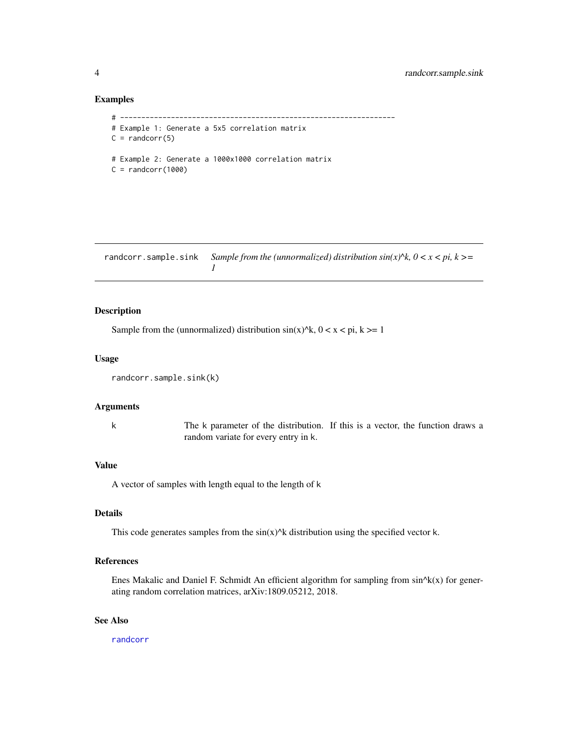#### Examples

```
# -----------------------------------------------------------------
# Example 1: Generate a 5x5 correlation matrix
C = \text{random}(5)# Example 2: Generate a 1000x1000 correlation matrix
C = \text{random}(1000)
```
<span id="page-3-1"></span>randcorr.sample.sink *Sample from the (unnormalized) distribution*  $sin(x)^k$ *,*  $0 < x < pi$ *,*  $k >=$ *1*

#### Description

Sample from the (unnormalized) distribution  $sin(x)^{k}$ ,  $0 < x < pi$ ,  $k \ge 1$ 

#### Usage

```
randcorr.sample.sink(k)
```
#### Arguments

k The k parameter of the distribution. If this is a vector, the function draws a random variate for every entry in k.

#### Value

A vector of samples with length equal to the length of k

#### Details

This code generates samples from the  $sin(x)^{k}$  distribution using the specified vector k.

#### References

Enes Makalic and Daniel F. Schmidt An efficient algorithm for sampling from  $sin^k(x)$  for generating random correlation matrices, arXiv:1809.05212, 2018.

#### See Also

[randcorr](#page-2-1)

<span id="page-3-0"></span>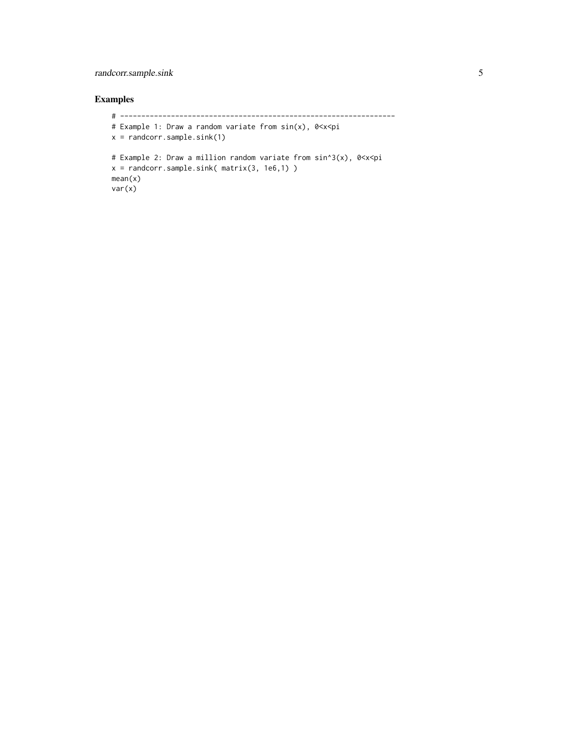#### randcorr.sample.sink 5

#### Examples

```
# -----------------------------------------------------------------
# Example 1: Draw a random variate from sin(x), 0<x<pi
x = \text{random}.\text{sample}.\text{sink}(1)# Example 2: Draw a million random variate from sin^3(x), 0<x<pi
x = randcorr.sample.sink( matrix(3, 1e6,1) )
mean(x)
var(x)
```